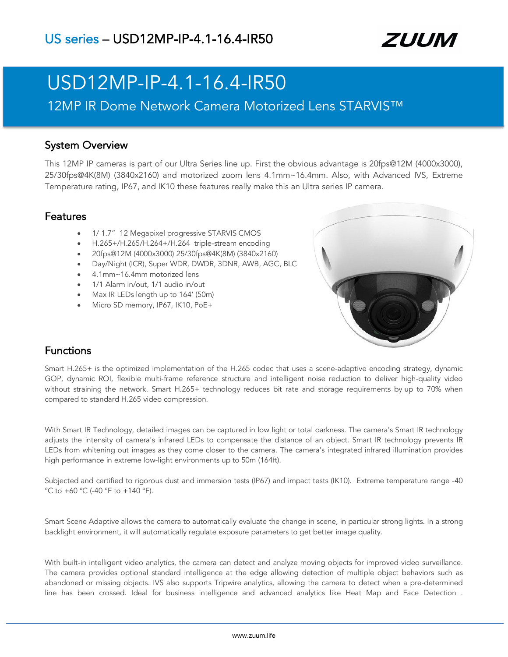

# USD12MP-IP-4.1-16.4-IR50

12MP IR Dome Network Camera Motorized Lens STARVIS™

### System Overview

This 12MP IP cameras is part of our Ultra Series line up. First the obvious advantage is 20fps@12M (4000x3000), 25/30fps@4K(8M) (3840x2160) and motorized zoom lens 4.1mm~16.4mm. Also, with Advanced IVS, Extreme Temperature rating, IP67, and IK10 these features really make this an Ultra series IP camera.

### Features

- 1/ 1.7" 12 Megapixel progressive STARVIS CMOS
- H.265+/H.265/H.264+/H.264 triple-stream encoding
- 20fps@12M (4000x3000) 25/30fps@4K(8M) (3840x2160)
- Day/Night (ICR), Super WDR, DWDR, 3DNR, AWB, AGC, BLC
- 4.1mm~16.4mm motorized lens
- 1/1 Alarm in/out, 1/1 audio in/out
- Max IR LEDs length up to 164' (50m)
- Micro SD memory, IP67, IK10, PoE+



### Functions

Smart H.265+ is the optimized implementation of the H.265 codec that uses a scene-adaptive encoding strategy, dynamic GOP, dynamic ROI, flexible multi-frame reference structure and intelligent noise reduction to deliver high-quality video without straining the network. Smart H.265+ technology reduces bit rate and storage requirements by up to 70% when compared to standard H.265 video compression.

With Smart IR Technology, detailed images can be captured in low light or total darkness. The camera's Smart IR technology adjusts the intensity of camera's infrared LEDs to compensate the distance of an object. Smart IR technology prevents IR LEDs from whitening out images as they come closer to the camera. The camera's integrated infrared illumination provides high performance in extreme low-light environments up to 50m (164ft).

Subjected and certified to rigorous dust and immersion tests (IP67) and impact tests (IK10). Extreme temperature range -40 °C to +60 °C (-40 °F to +140 °F).

Smart Scene Adaptive allows the camera to automatically evaluate the change in scene, in particular strong lights. In a strong backlight environment, it will automatically regulate exposure parameters to get better image quality.

With built-in intelligent video analytics, the camera can detect and analyze moving objects for improved video surveillance. The camera provides optional standard intelligence at the edge allowing detection of multiple object behaviors such as abandoned or missing objects. IVS also supports Tripwire analytics, allowing the camera to detect when a pre-determined line has been crossed. Ideal for business intelligence and advanced analytics like Heat Map and Face Detection .